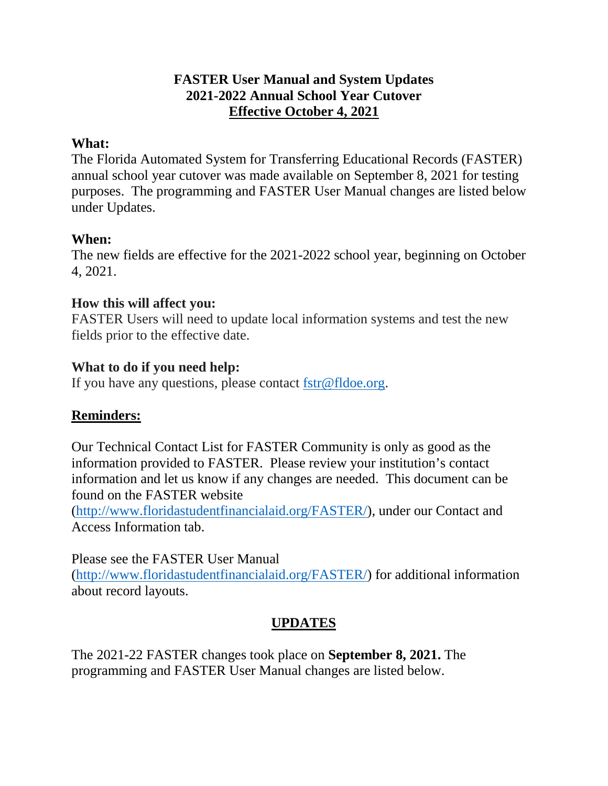# **FASTER User Manual and System Updates 2021-2022 Annual School Year Cutover Effective October 4, 2021**

### **What:**

The Florida Automated System for Transferring Educational Records (FASTER) annual school year cutover was made available on September 8, 2021 for testing purposes. The programming and FASTER User Manual changes are listed below under Updates.

# **When:**

The new fields are effective for the 2021-2022 school year, beginning on October 4, 2021.

# **How this will affect you:**

FASTER Users will need to update local information systems and test the new fields prior to the effective date.

# **What to do if you need help:**

If you have any questions, please contact [fstr@fldoe.org.](mailto:fstr@fldoe.org)

### **Reminders:**

Our Technical Contact List for FASTER Community is only as good as the information provided to FASTER. Please review your institution's contact information and let us know if any changes are needed. This document can be found on the FASTER website

[\(http://www.floridastudentfinancialaid.org/FASTER/\)](https://urldefense.com/v3/__http:/www.floridastudentfinancialaid.org/FASTER/__;!!OJzR9A!NWLgvn0czl5YYXvrvbxQOOlShECIIlU1CpwnqwDOZ6JFu5nC2yidGqJ-e9Dg_G4Z3qXr$), under our Contact and Access Information tab.

Please see the FASTER User Manual [\(http://www.floridastudentfinancialaid.org/FASTER/\)](https://urldefense.com/v3/__http:/www.floridastudentfinancialaid.org/FASTER/__;!!OJzR9A!NWLgvn0czl5YYXvrvbxQOOlShECIIlU1CpwnqwDOZ6JFu5nC2yidGqJ-e9Dg_G4Z3qXr$) for additional information about record layouts.

# **UPDATES**

The 2021-22 FASTER changes took place on **September 8, 2021.** The programming and FASTER User Manual changes are listed below.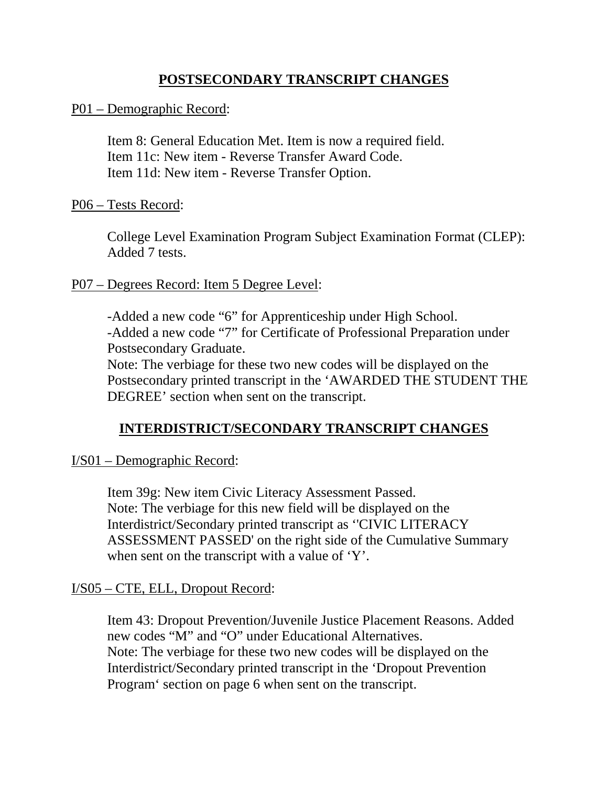### **POSTSECONDARY TRANSCRIPT CHANGES**

#### P01 – Demographic Record:

Item 8: General Education Met. Item is now a required field. Item 11c: New item - Reverse Transfer Award Code. Item 11d: New item - Reverse Transfer Option.

#### P06 – Tests Record:

College Level Examination Program Subject Examination Format (CLEP): Added 7 tests.

#### P07 – Degrees Record: Item 5 Degree Level:

-Added a new code "6" for Apprenticeship under High School. -Added a new code "7" for Certificate of Professional Preparation under Postsecondary Graduate.

Note: The verbiage for these two new codes will be displayed on the Postsecondary printed transcript in the 'AWARDED THE STUDENT THE DEGREE' section when sent on the transcript.

### **INTERDISTRICT/SECONDARY TRANSCRIPT CHANGES**

I/S01 – Demographic Record:

Item 39g: New item Civic Literacy Assessment Passed. Note: The verbiage for this new field will be displayed on the Interdistrict/Secondary printed transcript as ''CIVIC LITERACY ASSESSMENT PASSED' on the right side of the Cumulative Summary when sent on the transcript with a value of 'Y'.

#### I/S05 – CTE, ELL, Dropout Record:

Item 43: Dropout Prevention/Juvenile Justice Placement Reasons. Added new codes "M" and "O" under Educational Alternatives. Note: The verbiage for these two new codes will be displayed on the Interdistrict/Secondary printed transcript in the 'Dropout Prevention Program' section on page 6 when sent on the transcript.